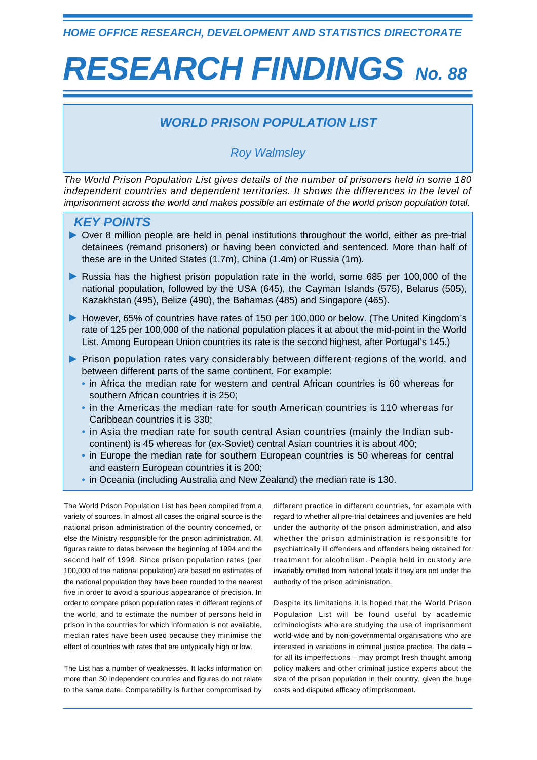*HOME OFFICE RESEARCH, DEVELOPMENT AND STATISTICS DIRECTORATE*

# *RESEARCH FINDINGS No. 88*

## *WORLD PRISON POPULATION LIST*

## *Roy Walmsley*

*The World Prison Population List gives details of the number of prisoners held in some 180 independent countries and dependent territories. It shows the differences in the level of imprisonment across the world and makes possible an estimate of the world prison population total.*

## *KEY POINTS*

- Over 8 million people are held in penal institutions throughout the world, either as pre-trial detainees (remand prisoners) or having been convicted and sentenced. More than half of these are in the United States (1.7m), China (1.4m) or Russia (1m).
- Russia has the highest prison population rate in the world, some 685 per 100,000 of the national population, followed by the USA (645), the Cayman Islands (575), Belarus (505), Kazakhstan (495), Belize (490), the Bahamas (485) and Singapore (465).
- However, 65% of countries have rates of 150 per 100,000 or below. (The United Kingdom's rate of 125 per 100,000 of the national population places it at about the mid-point in the World List. Among European Union countries its rate is the second highest, after Portugal's 145.)
- **Prison population rates vary considerably between different regions of the world, and** between different parts of the same continent. For example:
	- in Africa the median rate for western and central African countries is 60 whereas for southern African countries it is 250;
	- in the Americas the median rate for south American countries is 110 whereas for Caribbean countries it is 330;
	- in Asia the median rate for south central Asian countries (mainly the Indian subcontinent) is 45 whereas for (ex-Soviet) central Asian countries it is about 400;
	- in Europe the median rate for southern European countries is 50 whereas for central and eastern European countries it is 200;
	- in Oceania (including Australia and New Zealand) the median rate is 130.

The World Prison Population List has been compiled from a variety of sources. In almost all cases the original source is the national prison administration of the country concerned, or else the Ministry responsible for the prison administration. All figures relate to dates between the beginning of 1994 and the second half of 1998. Since prison population rates (per 100,000 of the national population) are based on estimates of the national population they have been rounded to the nearest five in order to avoid a spurious appearance of precision. In order to compare prison population rates in different regions of the world, and to estimate the number of persons held in prison in the countries for which information is not available, median rates have been used because they minimise the effect of countries with rates that are untypically high or low.

The List has a number of weaknesses. It lacks information on more than 30 independent countries and figures do not relate to the same date. Comparability is further compromised by different practice in different countries, for example with regard to whether all pre-trial detainees and juveniles are held under the authority of the prison administration, and also whether the prison administration is responsible for psychiatrically ill offenders and offenders being detained for treatment for alcoholism. People held in custody are invariably omitted from national totals if they are not under the authority of the prison administration.

Despite its limitations it is hoped that the World Prison Population List will be found useful by academic criminologists who are studying the use of imprisonment world-wide and by non-governmental organisations who are interested in variations in criminal justice practice. The data – for all its imperfections – may prompt fresh thought among policy makers and other criminal justice experts about the size of the prison population in their country, given the huge costs and disputed efficacy of imprisonment.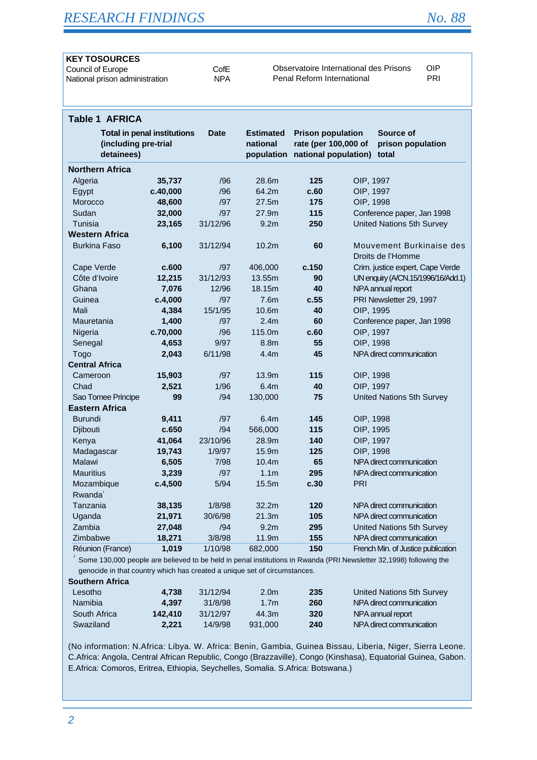# *RESEARCH FINDINGS No. 88*

| <b>KEY TOSOURCES</b>           |            |                                        |     |
|--------------------------------|------------|----------------------------------------|-----|
| Council of Europe              | CofE       | Observatoire International des Prisons | OIP |
| National prison administration | <b>NPA</b> | Penal Reform International             | PRI |
|                                |            |                                        |     |

| <b>Table 1 AFRICA</b>  |                                                            |             |                                            |                                                                          |           |                                               |
|------------------------|------------------------------------------------------------|-------------|--------------------------------------------|--------------------------------------------------------------------------|-----------|-----------------------------------------------|
| detainees)             | <b>Total in penal institutions</b><br>(including pre-trial | <b>Date</b> | <b>Estimated</b><br>national<br>population | <b>Prison population</b><br>rate (per 100,000 of<br>national population) |           | Source of<br>prison population<br>total       |
| <b>Northern Africa</b> |                                                            |             |                                            |                                                                          |           |                                               |
| Algeria                | 35,737                                                     | /96         | 28.6m                                      | 125                                                                      | OIP, 1997 |                                               |
| Egypt                  | c.40,000                                                   | /96         | 64.2m                                      | c.60                                                                     | OIP, 1997 |                                               |
| Morocco                | 48,600                                                     | /97         | 27.5m                                      | 175                                                                      | OIP, 1998 |                                               |
| Sudan                  | 32,000                                                     | /97         | 27.9m                                      | 115                                                                      |           | Conference paper, Jan 1998                    |
| Tunisia                | 23,165                                                     | 31/12/96    | 9.2 <sub>m</sub>                           | 250                                                                      |           | United Nations 5th Survey                     |
| <b>Western Africa</b>  |                                                            |             |                                            |                                                                          |           |                                               |
| <b>Burkina Faso</b>    | 6,100                                                      | 31/12/94    | 10.2m                                      | 60                                                                       |           | Mouvement Burkinaise des<br>Droits de l'Homme |
| Cape Verde             | c.600                                                      | /97         | 406,000                                    | c.150                                                                    |           | Crim. justice expert, Cape Verde              |
| Côte d'Ivoire          | 12,215                                                     | 31/12/93    | 13.55m                                     | 90                                                                       |           | UN enquiry (A/CN.15/1996/16/Add.1)            |
| Ghana                  | 7,076                                                      | 12/96       | 18.15m                                     | 40                                                                       |           | NPA annual report                             |
| Guinea                 | c.4,000                                                    | /97         | 7.6m                                       | c.55                                                                     |           | PRI Newsletter 29, 1997                       |
| Mali                   | 4,384                                                      | 15/1/95     | 10.6m                                      | 40                                                                       | OIP, 1995 |                                               |
| Mauretania             | 1,400                                                      | /97         | 2.4 <sub>m</sub>                           | 60                                                                       |           | Conference paper, Jan 1998                    |
| Nigeria                | c.70,000                                                   | /96         | 115.0m                                     | c.60                                                                     | OIP, 1997 |                                               |
| Senegal                | 4,653                                                      | 9/97        | 8.8m                                       | 55                                                                       | OIP, 1998 |                                               |
| Togo                   | 2,043                                                      | 6/11/98     | 4.4 <sub>m</sub>                           | 45                                                                       |           | NPA direct communication                      |
| <b>Central Africa</b>  |                                                            |             |                                            |                                                                          |           |                                               |
| Cameroon               | 15,903                                                     | /97         | 13.9 <sub>m</sub>                          | 115                                                                      | OIP, 1998 |                                               |
| Chad                   | 2,521                                                      | 1/96        | 6.4m                                       | 40                                                                       | OIP, 1997 |                                               |
| Sao Tomee Principe     | 99                                                         | /94         | 130,000                                    | 75                                                                       |           | United Nations 5th Survey                     |
| <b>Eastern Africa</b>  |                                                            |             |                                            |                                                                          |           |                                               |
| <b>Burundi</b>         | 9,411                                                      | /97         | 6.4m                                       | 145                                                                      | OIP, 1998 |                                               |
| Djibouti               | c.650                                                      | /94         | 566,000                                    | 115                                                                      | OIP, 1995 |                                               |
| Kenya                  | 41,064                                                     | 23/10/96    | 28.9m                                      | 140                                                                      | OIP, 1997 |                                               |
| Madagascar             | 19,743                                                     | 1/9/97      | 15.9m                                      | 125                                                                      | OIP, 1998 |                                               |
| <b>Malawi</b>          | 6,505                                                      | 7/98        | 10.4 <sub>m</sub>                          | 65                                                                       |           | NPA direct communication                      |
| <b>Mauritius</b>       | 3,239                                                      | /97         | 1.1 <sub>m</sub>                           | 295                                                                      |           | NPA direct communication                      |
| Mozambique             | c.4,500                                                    | 5/94        | 15.5m                                      | c.30                                                                     | PRI       |                                               |
| Rwanda <sup>1</sup>    |                                                            |             |                                            |                                                                          |           |                                               |
| Tanzania               | 38,135                                                     | 1/8/98      | 32.2m                                      | 120                                                                      |           | NPA direct communication                      |
| Uganda                 | 21,971                                                     | 30/6/98     | 21.3m                                      | 105                                                                      |           | NPA direct communication                      |
| Zambia                 | 27,048                                                     | /94         | 9.2m                                       | 295                                                                      |           | United Nations 5th Survey                     |
| Zimbabwe               | 18,271                                                     | 3/8/98      | 11.9m                                      | 155                                                                      |           | NPA direct communication                      |
| Réunion (France)       | 1,019                                                      | 1/10/98     | 682,000                                    | 150                                                                      |           | French Min. of Justice publication            |
|                        |                                                            |             |                                            |                                                                          |           |                                               |

Some 130,000 people are believed to be held in penal institutions in Rwanda (PRI Newsletter 32,1998) following the genocide in that country which has created a unique set of circumstances.

#### **Southern Africa**

| 4.738   | 31/12/94 | 2.0 <sub>m</sub> | 235 | United Nations 5th Survey |
|---------|----------|------------------|-----|---------------------------|
| 4.397   | 31/8/98  | 1.7 <sub>m</sub> | 260 | NPA direct communication  |
| 142.410 | 31/12/97 | 44.3m            | 320 | NPA annual report         |
| 2.221   | 14/9/98  | 931,000          | 240 | NPA direct communication  |
|         |          |                  |     |                           |

(No information: N.Africa: Libya. W. Africa: Benin, Gambia, Guinea Bissau, Liberia, Niger, Sierra Leone. C.Africa: Angola, Central African Republic, Congo (Brazzaville), Congo (Kinshasa), Equatorial Guinea, Gabon. E.Africa: Comoros, Eritrea, Ethiopia, Seychelles, Somalia. S.Africa: Botswana.)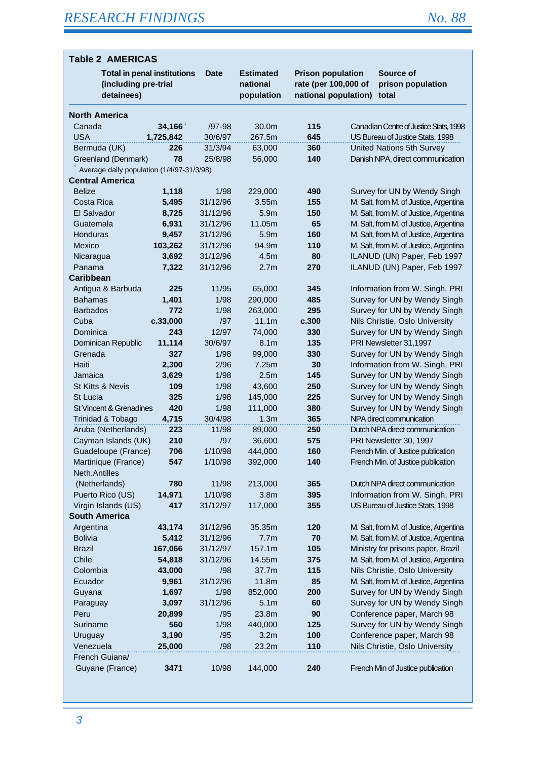| <b>Table 2 AMERICAS</b>                                                  |            |              |                                            |                                                                          |  |                                                              |
|--------------------------------------------------------------------------|------------|--------------|--------------------------------------------|--------------------------------------------------------------------------|--|--------------------------------------------------------------|
| <b>Total in penal institutions</b><br>(including pre-trial<br>detainees) |            | <b>Date</b>  | <b>Estimated</b><br>national<br>population | <b>Prison population</b><br>rate (per 100,000 of<br>national population) |  | Source of<br>prison population<br>total                      |
| <b>North America</b>                                                     |            |              |                                            |                                                                          |  |                                                              |
| Canada                                                                   | 34,166     | $/97-98$     | 30.0m                                      | 115                                                                      |  | Canadian Centre of Justice Stats, 1998                       |
| <b>USA</b>                                                               | 1,725,842  | 30/6/97      | 267.5m                                     | 645                                                                      |  | US Bureau of Justice Stats, 1998                             |
| Bermuda (UK)                                                             | 226        | 31/3/94      | 63,000                                     | 360                                                                      |  | United Nations 5th Survey                                    |
| Greenland (Denmark)                                                      | 78         | 25/8/98      | 56,000                                     | 140                                                                      |  | Danish NPA, direct communication                             |
| Average daily population (1/4/97-31/3/98)                                |            |              |                                            |                                                                          |  |                                                              |
| <b>Central America</b>                                                   |            |              |                                            |                                                                          |  |                                                              |
| <b>Belize</b>                                                            | 1,118      | 1/98         | 229,000                                    | 490                                                                      |  | Survey for UN by Wendy Singh                                 |
| Costa Rica                                                               | 5,495      | 31/12/96     | 3.55m                                      | 155                                                                      |  | M. Salt, from M. of Justice, Argentina                       |
| El Salvador                                                              | 8,725      | 31/12/96     | 5.9m                                       | 150                                                                      |  | M. Salt, from M. of Justice, Argentina                       |
| Guatemala                                                                | 6,931      | 31/12/96     | 11.05m                                     | 65                                                                       |  | M. Salt, from M. of Justice, Argentina                       |
| Honduras                                                                 | 9,457      | 31/12/96     | 5.9m                                       | 160                                                                      |  | M. Salt, from M. of Justice, Argentina                       |
| Mexico                                                                   | 103,262    | 31/12/96     | 94.9m                                      | 110                                                                      |  | M. Salt, from M. of Justice, Argentina                       |
| Nicaragua                                                                | 3,692      | 31/12/96     | 4.5m                                       | 80                                                                       |  | ILANUD (UN) Paper, Feb 1997                                  |
| Panama                                                                   | 7,322      | 31/12/96     | 2.7 <sub>m</sub>                           | 270                                                                      |  | ILANUD (UN) Paper, Feb 1997                                  |
| <b>Caribbean</b>                                                         |            |              |                                            |                                                                          |  |                                                              |
| Antigua & Barbuda                                                        | 225        | 11/95        | 65,000                                     | 345                                                                      |  | Information from W. Singh, PRI                               |
| <b>Bahamas</b>                                                           | 1,401      | 1/98         | 290,000                                    | 485                                                                      |  | Survey for UN by Wendy Singh                                 |
| <b>Barbados</b>                                                          | 772        | 1/98         | 263,000                                    | 295                                                                      |  | Survey for UN by Wendy Singh                                 |
| Cuba                                                                     | c.33,000   | /97          | 11.1m                                      | c.300                                                                    |  | Nils Christie, Oslo University                               |
| Dominica                                                                 | 243        | 12/97        | 74,000                                     | 330                                                                      |  | Survey for UN by Wendy Singh                                 |
| Dominican Republic                                                       | 11,114     | 30/6/97      | 8.1 <sub>m</sub>                           | 135                                                                      |  | PRI Newsletter 31,1997                                       |
| Grenada                                                                  | 327        | 1/98         | 99,000                                     | 330                                                                      |  | Survey for UN by Wendy Singh                                 |
| Haiti                                                                    | 2,300      | 2/96         | 7.25m                                      | 30                                                                       |  | Information from W. Singh, PRI                               |
| Jamaica                                                                  | 3,629      | 1/98         | 2.5 <sub>m</sub>                           | 145                                                                      |  | Survey for UN by Wendy Singh                                 |
| St Kitts & Nevis<br>St Lucia                                             | 109<br>325 | 1/98         | 43,600                                     | 250<br>225                                                               |  | Survey for UN by Wendy Singh<br>Survey for UN by Wendy Singh |
| St Vincent & Grenadines                                                  | 420        | 1/98<br>1/98 | 145,000<br>111,000                         | 380                                                                      |  | Survey for UN by Wendy Singh                                 |
| Trinidad & Tobago                                                        | 4,715      | 30/4/98      | 1.3 <sub>m</sub>                           | 365                                                                      |  | NPA direct communication                                     |
| Aruba (Netherlands)                                                      | 223        | 11/98        | 89,000                                     | 250                                                                      |  | Dutch NPA direct communication                               |
| Cayman Islands (UK)                                                      | 210        | /97          | 36,600                                     | 575                                                                      |  | PRI Newsletter 30, 1997                                      |
| Guadeloupe (France)                                                      | 706        | 1/10/98      | 444,000                                    | 160                                                                      |  | French Min. of Justice publication                           |
| Martinique (France)                                                      | 547        | 1/10/98      | 392,000                                    | 140                                                                      |  | French Min. of Justice publication                           |
| Neth.Antilles                                                            |            |              |                                            |                                                                          |  |                                                              |
| (Netherlands)                                                            | 780        | 11/98        | 213,000                                    | 365                                                                      |  | Dutch NPA direct communication                               |
| Puerto Rico (US)                                                         | 14,971     | 1/10/98      | 3.8 <sub>m</sub>                           | 395                                                                      |  | Information from W. Singh, PRI                               |
| Virgin Islands (US)                                                      | 417        | 31/12/97     | 117,000                                    | 355                                                                      |  | US Bureau of Justice Stats, 1998                             |
| <b>South America</b>                                                     |            |              |                                            |                                                                          |  |                                                              |
| Argentina                                                                | 43,174     | 31/12/96     | 35.35m                                     | 120                                                                      |  | M. Salt, from M. of Justice, Argentina                       |
| <b>Bolivia</b>                                                           | 5,412      | 31/12/96     | 7.7m                                       | 70                                                                       |  | M. Salt, from M. of Justice, Argentina                       |
| <b>Brazil</b>                                                            | 167,066    | 31/12/97     | 157.1m                                     | 105                                                                      |  | Ministry for prisons paper, Brazil                           |
| Chile                                                                    | 54,818     | 31/12/96     | 14.55m                                     | 375                                                                      |  | M. Salt, from M. of Justice, Argentina                       |
| Colombia                                                                 | 43,000     | /98          | 37.7m                                      | 115                                                                      |  | Nils Christie, Oslo University                               |
| Ecuador                                                                  | 9,961      | 31/12/96     | 11.8m                                      | 85                                                                       |  | M. Salt, from M. of Justice, Argentina                       |
| Guyana                                                                   | 1,697      | 1/98         | 852,000                                    | 200                                                                      |  | Survey for UN by Wendy Singh                                 |
| Paraguay                                                                 | 3,097      | 31/12/96     | 5.1 <sub>m</sub>                           | 60                                                                       |  | Survey for UN by Wendy Singh                                 |
| Peru                                                                     | 20,899     | /95          | 23.8m                                      | 90                                                                       |  | Conference paper, March 98                                   |
| Suriname                                                                 | 560        | 1/98         | 440,000                                    | 125                                                                      |  | Survey for UN by Wendy Singh                                 |
| Uruguay                                                                  | 3,190      | /95          | 3.2 <sub>m</sub>                           | 100                                                                      |  | Conference paper, March 98                                   |
| Venezuela                                                                | 25,000     | /98          | 23.2m                                      | 110                                                                      |  | Nils Christie, Oslo University                               |
| French Guiana/                                                           |            |              |                                            |                                                                          |  |                                                              |
| Guyane (France)                                                          | 3471       | 10/98        | 144,000                                    | 240                                                                      |  | French Min of Justice publication                            |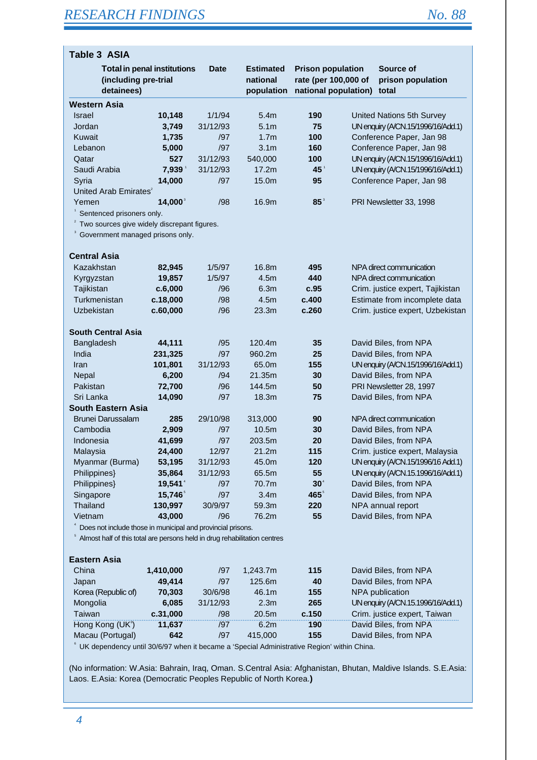| Table 3 ASIA                                                              |                                    |                |                                            |                                                                          |                                          |
|---------------------------------------------------------------------------|------------------------------------|----------------|--------------------------------------------|--------------------------------------------------------------------------|------------------------------------------|
| (including pre-trial<br>detainees)                                        | <b>Total in penal institutions</b> | <b>Date</b>    | <b>Estimated</b><br>national<br>population | <b>Prison population</b><br>rate (per 100,000 of<br>national population) | Source of<br>prison population<br>total  |
| <b>Western Asia</b>                                                       |                                    |                |                                            |                                                                          |                                          |
| <b>Israel</b>                                                             | 10,148                             | 1/1/94         | 5.4m                                       | 190                                                                      | United Nations 5th Survey                |
| Jordan                                                                    | 3,749                              | 31/12/93       | 5.1 <sub>m</sub>                           | 75                                                                       | UN enquiry (A/CN.15/1996/16/Add.1)       |
| Kuwait                                                                    | 1,735                              | /97            | 1.7 <sub>m</sub>                           | 100                                                                      | Conference Paper, Jan 98                 |
| Lebanon                                                                   | 5,000                              | /97            | 3.1 <sub>m</sub>                           | 160                                                                      | Conference Paper, Jan 98                 |
| Qatar                                                                     | 527                                | 31/12/93       | 540,000                                    | 100                                                                      | UN enquiry (A/CN.15/1996/16/Add.1)       |
| Saudi Arabia                                                              | 7,939                              | 31/12/93       | 17.2m                                      | $45^{\degree}$                                                           | UN enquiry (A/CN.15/1996/16/Add.1)       |
| Syria                                                                     | 14,000                             | /97            | 15.0m                                      | 95                                                                       | Conference Paper, Jan 98                 |
| United Arab Emirates <sup>2</sup>                                         |                                    |                |                                            |                                                                          |                                          |
| Yemen                                                                     | $14,000^3$                         | /98            | 16.9m                                      | $85^{\circ}$                                                             | PRI Newsletter 33, 1998                  |
| Sentenced prisoners only.                                                 |                                    |                |                                            |                                                                          |                                          |
| Two sources give widely discrepant figures.                               |                                    |                |                                            |                                                                          |                                          |
| Government managed prisons only.                                          |                                    |                |                                            |                                                                          |                                          |
| <b>Central Asia</b>                                                       |                                    |                |                                            |                                                                          |                                          |
| Kazakhstan                                                                | 82,945                             | 1/5/97         | 16.8m                                      | 495                                                                      | NPA direct communication                 |
| Kyrgyzstan                                                                | 19,857                             | 1/5/97         | 4.5 <sub>m</sub>                           | 440                                                                      | NPA direct communication                 |
| Tajikistan                                                                | c.6,000                            | /96            | 6.3m                                       | c.95                                                                     | Crim. justice expert, Tajikistan         |
| Turkmenistan                                                              | c.18,000                           | /98            | 4.5m                                       | c.400                                                                    | Estimate from incomplete data            |
| Uzbekistan                                                                | c.60,000                           | /96            | 23.3m                                      | c.260                                                                    | Crim. justice expert, Uzbekistan         |
| <b>South Central Asia</b>                                                 |                                    |                |                                            |                                                                          |                                          |
| Bangladesh                                                                | 44,111                             | /95            | 120.4m                                     | 35                                                                       | David Biles, from NPA                    |
| India                                                                     | 231,325                            | /97            | 960.2m                                     | 25                                                                       | David Biles, from NPA                    |
| Iran                                                                      | 101,801                            | 31/12/93       | 65.0m                                      | 155                                                                      | UN enquiry (A/CN.15/1996/16/Add.1)       |
| Nepal                                                                     | 6,200                              | /94            | 21.35m                                     | 30                                                                       | David Biles, from NPA                    |
| Pakistan                                                                  | 72,700                             | /96            | 144.5m                                     | 50                                                                       | PRI Newsletter 28, 1997                  |
| Sri Lanka                                                                 | 14,090                             | /97            | 18.3m                                      | 75                                                                       | David Biles, from NPA                    |
| <b>South Eastern Asia</b>                                                 |                                    |                |                                            |                                                                          |                                          |
| Brunei Darussalam                                                         | 285                                | 29/10/98       | 313,000                                    | 90                                                                       | NPA direct communication                 |
| Cambodia                                                                  | 2,909                              | /97            | 10.5m                                      | 30                                                                       | David Biles, from NPA                    |
| Indonesia                                                                 | 41,699                             | /97            | 203.5m                                     | 20                                                                       | David Biles, from NPA                    |
| Malaysia                                                                  | 24,400                             | 12/97          | 21.2m                                      | 115                                                                      | Crim. justice expert, Malaysia           |
| Myanmar (Burma)                                                           | 53,195                             | 31/12/93       | 45.0m                                      | 120                                                                      | UN enquiry (A/CN.15/1996/16 Add.1)       |
| Philippines}                                                              | 35,864                             | 31/12/93       | 65.5m                                      | 55                                                                       | UN enquiry (A/CN.15.1996/16/Add.1)       |
| Philippines}                                                              | 19,541                             | /97            | 70.7m                                      | $30^4$                                                                   | David Biles, from NPA                    |
| Singapore                                                                 | 15,746 <sup>5</sup>                | /97            | 3.4 <sub>m</sub>                           | $465^{\circ}$                                                            | David Biles, from NPA                    |
| Thailand                                                                  | 130,997                            | 30/9/97        | 59.3m                                      | 220                                                                      | NPA annual report                        |
| Vietnam                                                                   | 43,000                             | /96            | 76.2m                                      | 55                                                                       | David Biles, from NPA                    |
| Does not include those in municipal and provincial prisons.               |                                    |                |                                            |                                                                          |                                          |
| Almost half of this total are persons held in drug rehabilitation centres |                                    |                |                                            |                                                                          |                                          |
| <b>Eastern Asia</b>                                                       |                                    |                |                                            |                                                                          |                                          |
|                                                                           |                                    |                |                                            |                                                                          |                                          |
| China                                                                     | 1,410,000                          | /97            | 1,243.7m<br>125.6m                         | 115                                                                      | David Biles, from NPA                    |
| Japan<br>Korea (Republic of)                                              | 49,414<br><b>70 303</b>            | /97<br>30/6/98 | 46.1 <sub>m</sub>                          | 40<br>155                                                                | David Biles, from NPA<br>NPA publication |

| Japan               | 49.414   | /97      | 125.6m            | 40    | David Biles, from NPA              |
|---------------------|----------|----------|-------------------|-------|------------------------------------|
| Korea (Republic of) | 70.303   | 30/6/98  | 46.1m             | 155   | NPA publication                    |
| Mongolia            | 6.085    | 31/12/93 | 2.3 <sub>m</sub>  | 265   | UN enquiry (A/CN.15.1996/16/Add.1) |
| Taiwan              | c.31,000 | /98      | 20.5 <sub>m</sub> | c.150 | Crim. justice expert, Taiwan       |
| Hong Kong $(UKs)$   | 11.637   | /97      | 6.2m              | 190   | David Biles, from NPA              |
| Macau (Portugal)    | 642      | /97      | 415,000           | 155   | David Biles, from NPA              |

6 UK dependency until 30/6/97 when it became a 'Special Administrative Region' within China.

(No information: W.Asia: Bahrain, Iraq, Oman. S.Central Asia: Afghanistan, Bhutan, Maldive Islands. S.E.Asia: Laos. E.Asia: Korea (Democratic Peoples Republic of North Korea.**)**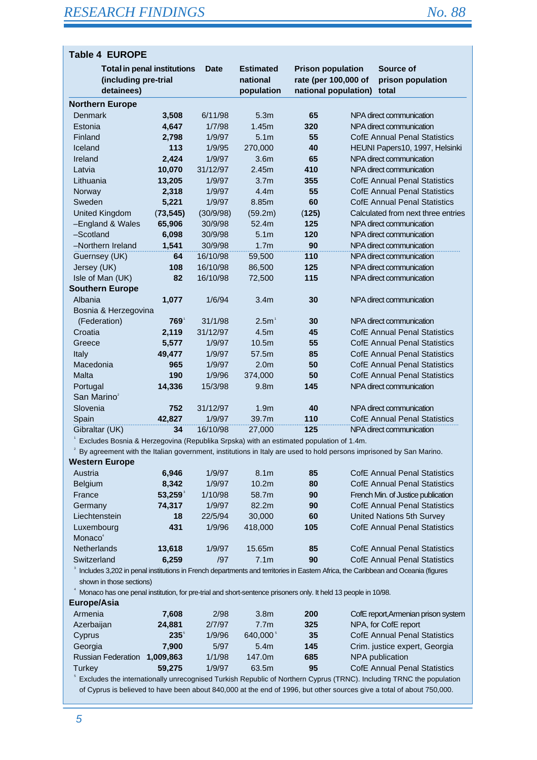| <b>Table 4 EUROPE</b>                                                    |            |           |                                            |                                                                          |                                         |
|--------------------------------------------------------------------------|------------|-----------|--------------------------------------------|--------------------------------------------------------------------------|-----------------------------------------|
| <b>Total in penal institutions</b><br>(including pre-trial<br>detainees) |            | Date      | <b>Estimated</b><br>national<br>population | <b>Prison population</b><br>rate (per 100,000 of<br>national population) | Source of<br>prison population<br>total |
| <b>Northern Europe</b>                                                   |            |           |                                            |                                                                          |                                         |
| Denmark                                                                  | 3,508      | 6/11/98   | 5.3 <sub>m</sub>                           | 65                                                                       | NPA direct communication                |
| Estonia                                                                  | 4,647      | 1/7/98    | 1.45m                                      | 320                                                                      | NPA direct communication                |
| Finland                                                                  | 2,798      | 1/9/97    | 5.1 <sub>m</sub>                           | 55                                                                       | <b>CofE Annual Penal Statistics</b>     |
| Iceland                                                                  | 113        | 1/9/95    | 270,000                                    | 40                                                                       | HEUNI Papers10, 1997, Helsinki          |
| Ireland                                                                  | 2,424      | 1/9/97    | 3.6 <sub>m</sub>                           | 65                                                                       | NPA direct communication                |
| Latvia                                                                   | 10,070     | 31/12/97  | 2.45m                                      | 410                                                                      | NPA direct communication                |
| Lithuania                                                                | 13,205     | 1/9/97    | 3.7 <sub>m</sub>                           | 355                                                                      | <b>CofE Annual Penal Statistics</b>     |
| Norway                                                                   | 2,318      | 1/9/97    | 4.4 <sub>m</sub>                           | 55                                                                       | <b>CofE Annual Penal Statistics</b>     |
| Sweden                                                                   | 5,221      | 1/9/97    | 8.85m                                      | 60                                                                       | <b>CofE Annual Penal Statistics</b>     |
| <b>United Kingdom</b>                                                    | (73, 545)  | (30/9/98) | (59.2m)                                    | (125)                                                                    | Calculated from next three entries      |
| -England & Wales                                                         | 65,906     | 30/9/98   | 52.4m                                      | 125                                                                      | NPA direct communication                |
| -Scotland                                                                | 6,098      | 30/9/98   | 5.1 <sub>m</sub>                           | 120                                                                      | NPA direct communication                |
| -Northern Ireland                                                        | 1,541      | 30/9/98   | 1.7 <sub>m</sub>                           | 90                                                                       | NPA direct communication                |
| Guernsey (UK)                                                            | 64         | 16/10/98  | 59,500                                     | 110                                                                      | NPA direct communication                |
| Jersey (UK)                                                              | 108        | 16/10/98  | 86,500                                     | 125                                                                      | NPA direct communication                |
| Isle of Man (UK)                                                         | 82         | 16/10/98  | 72,500                                     | 115                                                                      | NPA direct communication                |
| <b>Southern Europe</b>                                                   |            |           |                                            |                                                                          |                                         |
| Albania                                                                  | 1,077      | 1/6/94    | 3.4 <sub>m</sub>                           | 30                                                                       | NPA direct communication                |
| Bosnia & Herzegovina                                                     |            |           |                                            |                                                                          |                                         |
| (Federation)                                                             | <b>769</b> | 31/1/98   | 2.5 <sup>1</sup>                           | 30                                                                       | NPA direct communication                |
| Croatia                                                                  | 2,119      | 31/12/97  | 4.5m                                       | 45                                                                       | <b>CofE Annual Penal Statistics</b>     |
| Greece                                                                   | 5,577      | 1/9/97    | 10.5m                                      | 55                                                                       | <b>CofE Annual Penal Statistics</b>     |
| Italy                                                                    | 49,477     | 1/9/97    | 57.5m                                      | 85                                                                       | <b>CofE Annual Penal Statistics</b>     |
| Macedonia                                                                | 965        | 1/9/97    | 2.0 <sub>m</sub>                           | 50                                                                       | <b>CofE Annual Penal Statistics</b>     |
| Malta                                                                    | 190        | 1/9/96    | 374,000                                    | 50                                                                       | <b>CofE Annual Penal Statistics</b>     |
| Portugal                                                                 | 14,336     | 15/3/98   | 9.8 <sub>m</sub>                           | 145                                                                      | NPA direct communication                |
| San Marino <sup>2</sup>                                                  |            |           |                                            |                                                                          |                                         |
| Slovenia                                                                 | 752        | 31/12/97  | 1.9 <sub>m</sub>                           | 40                                                                       | NPA direct communication                |
| Spain                                                                    | 42,827     | 1/9/97    | 39.7m                                      | 110                                                                      | <b>CofE Annual Penal Statistics</b>     |
| Gibraltar (UK)                                                           | 34         | 16/10/98  | 27,000                                     | 125                                                                      | NPA direct communication                |

1 Excludes Bosnia & Herzegovina (Republika Srpska) with an estimated population of 1.4m.

 $2$  By agreement with the Italian government, institutions in Italy are used to hold persons imprisoned by San Marino.

| 6.946  | 1/9/97  | 8.1 <sub>m</sub>  | 85  | <b>CofE Annual Penal Statistics</b> |
|--------|---------|-------------------|-----|-------------------------------------|
| 8,342  | 1/9/97  | 10.2 <sub>m</sub> | 80  | <b>CofE Annual Penal Statistics</b> |
| 53,259 | 1/10/98 | 58.7m             | 90  | French Min. of Justice publication  |
| 74,317 | 1/9/97  | 82.2m             | 90  | <b>CofE Annual Penal Statistics</b> |
| 18     | 22/5/94 | 30,000            | 60  | United Nations 5th Survey           |
| 431    | 1/9/96  | 418,000           | 105 | <b>CofE Annual Penal Statistics</b> |
|        |         |                   |     |                                     |
| 13,618 | 1/9/97  | 15.65m            | 85  | <b>CofE Annual Penal Statistics</b> |
| 6,259  | /97     | 7.1 <sub>m</sub>  | 90  | <b>CofE Annual Penal Statistics</b> |
|        |         |                   |     |                                     |

3 Includes 3,202 in penal institutions in French departments and territories in Eastern Africa, the Caribbean and Oceania (figures shown in those sections)

<sup>4</sup> Monaco has one penal institution, for pre-trial and short-sentence prisoners only. It held 13 people in 10/98. **Europe/Asia**

| Europe/Asia               |             |        |                      |     |                                     |
|---------------------------|-------------|--------|----------------------|-----|-------------------------------------|
| Armenia                   | 7.608       | 2/98   | 3.8 <sub>m</sub>     | 200 | CofE report, Armenian prison system |
| Azerbaijan                | 24.881      | 2/7/97 | 7.7 <sub>m</sub>     | 325 | NPA, for CofE report                |
| Cyprus                    | $235^\circ$ | 1/9/96 | 640.000 <sup>5</sup> | 35  | <b>CofE Annual Penal Statistics</b> |
| Georgia                   | 7.900       | 5/97   | 5.4m                 | 145 | Crim. justice expert, Georgia       |
| <b>Russian Federation</b> | 1.009.863   | 1/1/98 | 147.0m               | 685 | NPA publication                     |
| Turkey                    | 59.275      | 1/9/97 | 63.5m                | 95  | <b>CofE Annual Penal Statistics</b> |
|                           |             |        |                      |     |                                     |

5 Excludes the internationally unrecognised Turkish Republic of Northern Cyprus (TRNC). Including TRNC the population of Cyprus is believed to have been about 840,000 at the end of 1996, but other sources give a total of about 750,000.